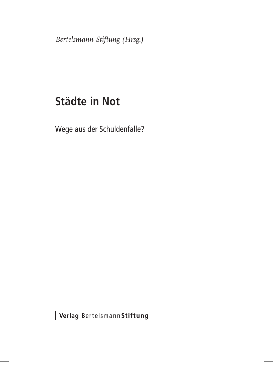*Bertelsmann Stiftung (Hrsg.)*

## **Städte in Not**

Wege aus der Schuldenfalle?

| Verlag BertelsmannStiftung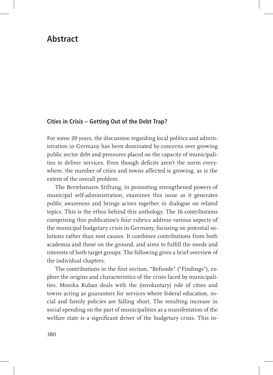## **Abstract**

## **Cities in Crisis – Getting Out of the Debt Trap?**

For some 20 years, the discussion regarding local politics and administration in Germany has been dominated by concerns over growing public sector debt and pressures placed on the capacity of municipalities to deliver services. Even though deficits aren't the norm everywhere, the number of cities and towns affected is growing, as is the extent of the overall problem.

The Bertelsmann Stiftung, in promoting strengthened powers of municipal self-administration, examines this issue as it generates public awareness and brings actors together in dialogue on related topics. This is the ethos behind this anthology. The 16 contributions comprising this publication's four rubrics address various aspects of the municipal budgetary crisis in Germany, focusing on potential solutions rather than root causes. It combines contributions from both academia and those on the ground, and aims to fulfill the needs and interests of both target groups. The following gives a brief overview of the individual chapters.

The contributions in the first section, "Befunde" ("Findings"), explore the origins and characteristics of the crisis faced by municipalities. Monika Kuban deals with the (involuntary) role of cities and towns acting as guarantors for services where federal education, social and family policies are falling short. The resulting increase in social spending on the part of municipalities as a manifestation of the welfare state is a significant driver of the budgetary crisis. This in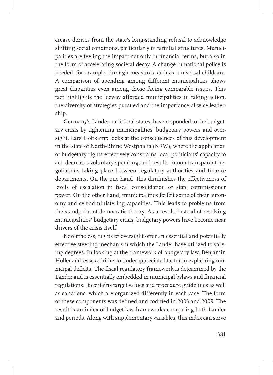crease derives from the state's long-standing refusal to acknowledge shifting social conditions, particularly in familial structures. Municipalities are feeling the impact not only in financial terms, but also in the form of accelerating societal decay. A change in national policy is needed, for example, through measures such as universal childcare. A comparison of spending among different municipalities shows great disparities even among those facing comparable issues. This fact highlights the leeway afforded municipalities in taking action, the diversity of strategies pursued and the importance of wise leadership.

Germany's Länder, or federal states, have responded to the budgetary crisis by tightening municipalities' budgetary powers and oversight. Lars Holtkamp looks at the consequences of this development in the state of North-Rhine Westphalia (NRW), where the application of budgetary rights effectively constrains local politicians' capacity to act, decreases voluntary spending, and results in non-transparent negotiations taking place between regulatory authorities and finance departments. On the one hand, this diminishes the effectiveness of levels of escalation in fiscal consolidation or state commissioner power. On the other hand, municipalities forfeit some of their autonomy and self-administering capacities. This leads to problems from the standpoint of democratic theory. As a result, instead of resolving municipalities' budgetary crisis, budgetary powers have become near drivers of the crisis itself.

Nevertheless, rights of oversight offer an essential and potentially effective steering mechanism which the Länder have utilized to varying degrees. In looking at the framework of budgetary law, Benjamin Holler addresses a hitherto underappreciated factor in explaining municipal deficits. The fiscal regulatory framework is determined by the Länder and is essentially embedded in municipal bylaws and financial regulations. It contains target values and procedure guidelines as well as sanctions, which are organized differently in each case. The form of these components was defined and codified in 2003 and 2009. The result is an index of budget law frameworks comparing both Länder and periods. Along with supplementary variables, this index can serve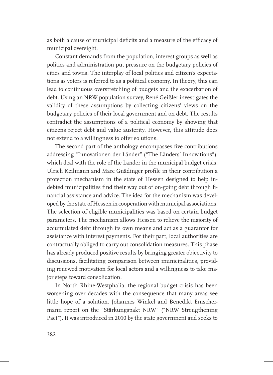as both a cause of municipal deficits and a measure of the efficacy of municipal oversight.

Constant demands from the population, interest groups as well as politics and administration put pressure on the budgetary policies of cities and towns. The interplay of local politics and citizen's expectations as voters is referred to as a political economy. In theory, this can lead to continuous overstretching of budgets and the exacerbation of debt. Using an NRW population survey, René Geißler investigates the validity of these assumptions by collecting citizens' views on the budgetary policies of their local government and on debt. The results contradict the assumptions of a political economy by showing that citizens reject debt and value austerity. However, this attitude does not extend to a willingness to offer solutions.

The second part of the anthology encompasses five contributions addressing "Innovationen der Länder" ("The Länders' Innovations"), which deal with the role of the Länder in the municipal budget crisis. Ulrich Keilmann and Marc Gnädinger profile in their contribution a protection mechanism in the state of Hessen designed to help indebted municipalities find their way out of on-going debt through financial assistance and advice. The idea for the mechanism was developed by the state of Hessen in cooperation with municipal associations. The selection of eligible municipalities was based on certain budget parameters. The mechanism allows Hessen to relieve the majority of accumulated debt through its own means and act as a guarantor for assistance with interest payments. For their part, local authorities are contractually obliged to carry out consolidation measures. This phase has already produced positive results by bringing greater objectivity to discussions, facilitating comparison between municipalities, providing renewed motivation for local actors and a willingness to take major steps toward consolidation.

In North Rhine-Westphalia, the regional budget crisis has been worsening over decades with the consequence that many areas see little hope of a solution. Johannes Winkel and Benedikt Emschermann report on the "Stärkungspakt NRW" ("NRW Strengthening Pact"). It was introduced in 2010 by the state government and seeks to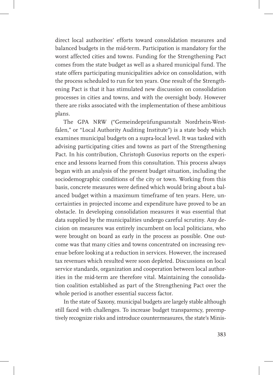direct local authorities' efforts toward consolidation measures and balanced budgets in the mid-term. Participation is mandatory for the worst affected cities and towns. Funding for the Strengthening Pact comes from the state budget as well as a shared municipal fund. The state offers participating municipalities advice on consolidation, with the process scheduled to run for ten years. One result of the Strengthening Pact is that it has stimulated new discussion on consolidation processes in cities and towns, and with the oversight body. However there are risks associated with the implementation of these ambitious plans.

The GPA NRW ("Gemeindeprüfungsanstalt Nordrhein-Westfalen," or "Local Authority Auditing Institute") is a state body which examines municipal budgets on a supra-local level. It was tasked with advising participating cities and towns as part of the Strengthening Pact. In his contribution, Christoph Gusovius reports on the experience and lessons learned from this consultation. This process always began with an analysis of the present budget situation, including the sociodemographic conditions of the city or town. Working from this basis, concrete measures were defined which would bring about a balanced budget within a maximum timeframe of ten years. Here, uncertainties in projected income and expenditure have proved to be an obstacle. In developing consolidation measures it was essential that data supplied by the municipalities undergo careful scrutiny. Any decision on measures was entirely incumbent on local politicians, who were brought on board as early in the process as possible. One outcome was that many cities and towns concentrated on increasing revenue before looking at a reduction in services. However, the increased tax revenues which resulted were soon depleted. Discussions on local service standards, organization and cooperation between local authorities in the mid-term are therefore vital. Maintaining the consolidation coalition established as part of the Strengthening Pact over the whole period is another essential success factor.

In the state of Saxony, municipal budgets are largely stable although still faced with challenges. To increase budget transparency, preemptively recognize risks and introduce countermeasures, the state's Minis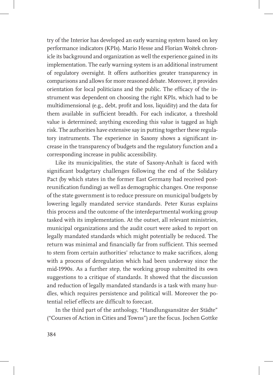try of the Interior has developed an early warning system based on key performance indicators (KPIs). Mario Hesse and Florian Woitek chronicle its background and organization as well the experience gained in its implementation. The early warning system is an additional instrument of regulatory oversight. It offers authorities greater transparency in comparisons and allows for more reasoned debate. Moreover, it provides orientation for local politicians and the public. The efficacy of the instrument was dependent on choosing the right KPIs, which had to be multidimensional (e.g., debt, profit and loss, liquidity) and the data for them available in sufficient breadth. For each indicator, a threshold value is determined; anything exceeding this value is tagged as high risk. The authorities have extensive say in putting together these regulatory instruments. The experience in Saxony shows a significant increase in the transparency of budgets and the regulatory function and a corresponding increase in public accessibility.

Like its municipalities, the state of Saxony-Anhalt is faced with significant budgetary challenges following the end of the Solidary Pact (by which states in the former East Germany had received postreunification funding) as well as demographic changes. One response of the state government is to reduce pressure on municipal budgets by lowering legally mandated service standards. Peter Kuras explains this process and the outcome of the interdepartmental working group tasked with its implementation. At the outset, all relevant ministries, municipal organizations and the audit court were asked to report on legally mandated standards which might potentially be reduced. The return was minimal and financially far from sufficient. This seemed to stem from certain authorities' reluctance to make sacrifices, along with a process of deregulation which had been underway since the mid-1990s. As a further step, the working group submitted its own suggestions to a critique of standards. It showed that the discussion and reduction of legally mandated standards is a task with many hurdles, which requires persistence and political will. Moreover the potential relief effects are difficult to forecast.

In the third part of the anthology, "Handlungsansätze der Städte" ("Courses of Action in Cities and Towns") are the focus. Jochen Gottke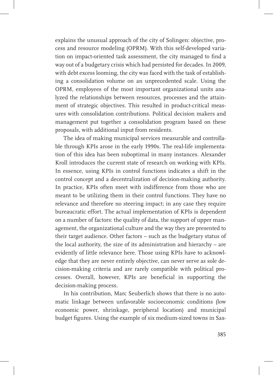explains the unusual approach of the city of Solingen: objective, process and resource modeling (OPRM). With this self-developed variation on impact-oriented task assessment, the city managed to find a way out of a budgetary crisis which had persisted for decades. In 2009, with debt excess looming, the city was faced with the task of establishing a consolidation volume on an unprecedented scale. Using the OPRM, employees of the most important organizational units analyzed the relationships between resources, processes and the attainment of strategic objectives. This resulted in product-critical measures with consolidation contributions. Political decision makers and management put together a consolidation program based on these proposals, with additional input from residents.

The idea of making municipal services measurable and controllable through KPIs arose in the early 1990s. The real-life implementation of this idea has been suboptimal in many instances. Alexander Kroll introduces the current state of research on working with KPIs. In essence, using KPIs in control functions indicates a shift in the control concept and a decentralization of decision-making authority. In practice, KPIs often meet with indifference from those who are meant to be utilizing them in their control functions. They have no relevance and therefore no steering impact; in any case they require bureaucratic effort. The actual implementation of KPIs is dependent on a number of factors: the quality of data, the support of upper management, the organizational culture and the way they are presented to their target audience. Other factors – such as the budgetary status of the local authority, the size of its administration and hierarchy – are evidently of little relevance here. Those using KPIs have to acknowledge that they are never entirely objective, can never serve as sole decision-making criteria and are rarely compatible with political processes. Overall, however, KPIs are beneficial in supporting the decision-making process.

In his contribution, Marc Seuberlich shows that there is no automatic linkage between unfavorable socioeconomic conditions (low economic power, shrinkage, peripheral location) and municipal budget figures. Using the example of six medium-sized towns in Sax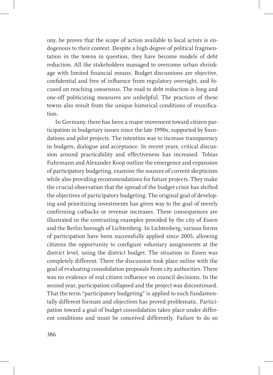ony, he proves that the scope of action available to local actors is endogenous to their context. Despite a high degree of political fragmentation in the towns in question, they have become models of debt reduction. All the stakeholders managed to overcome urban shrinkage with limited financial means. Budget discussions are objective, confidential and free of influence from regulatory oversight, and focused on reaching consensus. The road to debt reduction is long and one-off politicizing measures are unhelpful. The practices of these towns also result from the unique historical conditions of reunification.

In Germany, there has been a major movement toward citizen participation in budgetary issues since the late 1990s, supported by foundations and pilot projects. The intention was to increase transparency in budgets, dialogue and acceptance. In recent years, critical discussion around practicability and effectiveness has increased. Tobias Fuhrmann and Alexander Koop outline the emergence and expansion of participatory budgeting, examine the sources of current skepticism while also providing recommendations for future projects. They make the crucial observation that the spread of the budget crisis has shifted the objectives of participatory budgeting. The original goal of developing and prioritizing investments has given way to the goal of merely confirming cutbacks or revenue increases. These consequences are illustrated in the contrasting examples provided by the city of Essen and the Berlin borough of Lichtenberg. In Lichtenberg, various forms of participation have been successfully applied since 2005, allowing citizens the opportunity to configure voluntary assignments at the district level, using the district budget. The situation in Essen was completely different. There the discussion took place online with the goal of evaluating consolidation proposals from city authorities. There was no evidence of real citizen influence on council decisions. In the second year, participation collapsed and the project was discontinued. That the term "participatory budgeting" is applied to such fundamentally different formats and objectives has proved problematic. Participation toward a goal of budget consolidation takes place under different conditions and must be conceived differently. Failure to do so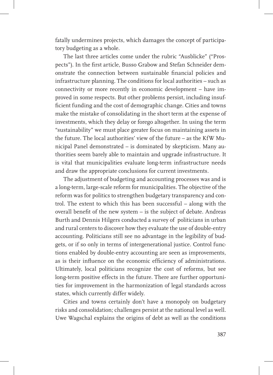fatally undermines projects, which damages the concept of participatory budgeting as a whole.

The last three articles come under the rubric "Ausblicke" ("Prospects"). In the first article, Busso Grabow and Stefan Schneider demonstrate the connection between sustainable financial policies and infrastructure planning. The conditions for local authorities – such as connectivity or more recently in economic development – have improved in some respects. But other problems persist, including insufficient funding and the cost of demographic change. Cities and towns make the mistake of consolidating in the short term at the expense of investments, which they delay or forego altogether. In using the term "sustainability" we must place greater focus on maintaining assets in the future. The local authorities' view of the future – as the KfW Municipal Panel demonstrated – is dominated by skepticism. Many authorities seem barely able to maintain and upgrade infrastructure. It is vital that municipalities evaluate long-term infrastructure needs and draw the appropriate conclusions for current investments.

The adjustment of budgeting and accounting processes was and is a long-term, large-scale reform for municipalities. The objective of the reform was for politics to strengthen budgetary transparency and control. The extent to which this has been successful – along with the overall benefit of the new system – is the subject of debate. Andreas Burth and Dennis Hilgers conducted a survey of politicians in urban and rural centers to discover how they evaluate the use of double-entry accounting. Politicians still see no advantage in the legibility of budgets, or if so only in terms of intergenerational justice. Control functions enabled by double-entry accounting are seen as improvements, as is their influence on the economic efficiency of administrations. Ultimately, local politicians recognize the cost of reforms, but see long-term positive effects in the future. There are further opportunities for improvement in the harmonization of legal standards across states, which currently differ widely.

Cities and towns certainly don't have a monopoly on budgetary risks and consolidation; challenges persist at the national level as well. Uwe Wagschal explains the origins of debt as well as the conditions